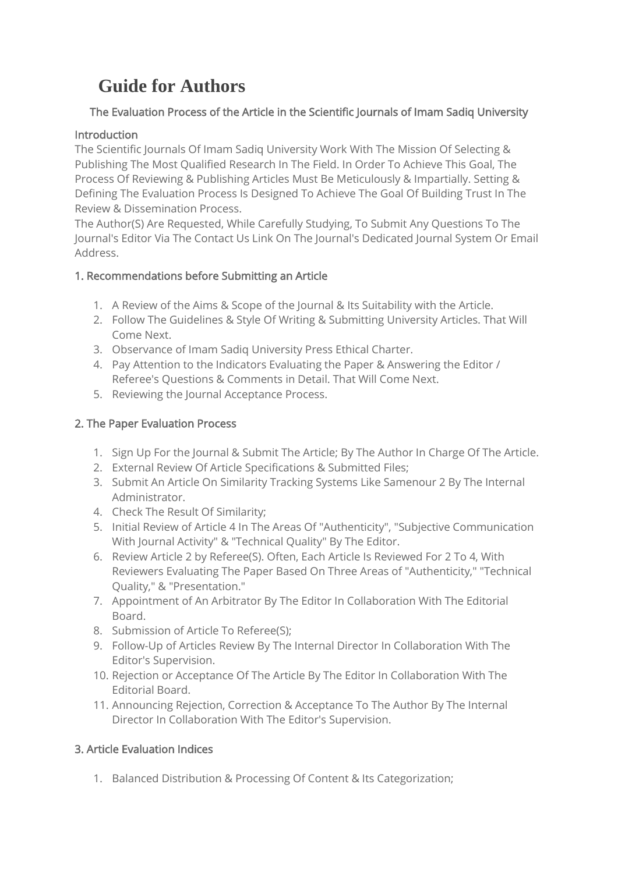# **Guide for Authors**

# The Evaluation Process of the Article in the Scientific Journals of Imam Sadiq University

# Introduction

The Scientific Journals Of Imam Sadiq University Work With The Mission Of Selecting & Publishing The Most Qualified Research In The Field. In Order To Achieve This Goal, The Process Of Reviewing & Publishing Articles Must Be Meticulously & Impartially. Setting & Defining The Evaluation Process Is Designed To Achieve The Goal Of Building Trust In The Review & Dissemination Process.

The Author(S) Are Requested, While Carefully Studying, To Submit Any Questions To The Journal's Editor Via The Contact Us Link On The Journal's Dedicated Journal System Or Email Address.

# 1. Recommendations before Submitting an Article

- 1. A Review of the Aims & Scope of the Journal & Its Suitability with the Article.
- 2. Follow The Guidelines & Style Of Writing & Submitting University Articles. That Will Come Next.
- 3. Observance of Imam Sadiq University Press Ethical Charter.
- 4. Pay Attention to the Indicators Evaluating the Paper & Answering the Editor / Referee's Questions & Comments in Detail. That Will Come Next.
- 5. Reviewing the Journal Acceptance Process.

# 2. The Paper Evaluation Process

- 1. Sign Up For the Journal & Submit The Article; By The Author In Charge Of The Article.
- 2. External Review Of Article Specifications & Submitted Files;
- 3. Submit An Article On Similarity Tracking Systems Like Samenour 2 By The Internal Administrator.
- 4. Check The Result Of Similarity;
- 5. Initial Review of Article 4 In The Areas Of "Authenticity", "Subjective Communication With Journal Activity" & "Technical Quality" By The Editor.
- 6. Review Article 2 by Referee(S). Often, Each Article Is Reviewed For 2 To 4, With Reviewers Evaluating The Paper Based On Three Areas of "Authenticity," "Technical Quality," & "Presentation."
- 7. Appointment of An Arbitrator By The Editor In Collaboration With The Editorial Board.
- 8. Submission of Article To Referee(S);
- 9. Follow-Up of Articles Review By The Internal Director In Collaboration With The Editor's Supervision.
- 10. Rejection or Acceptance Of The Article By The Editor In Collaboration With The Editorial Board.
- 11. Announcing Rejection, Correction & Acceptance To The Author By The Internal Director In Collaboration With The Editor's Supervision.

# 3. Article Evaluation Indices

1. Balanced Distribution & Processing Of Content & Its Categorization;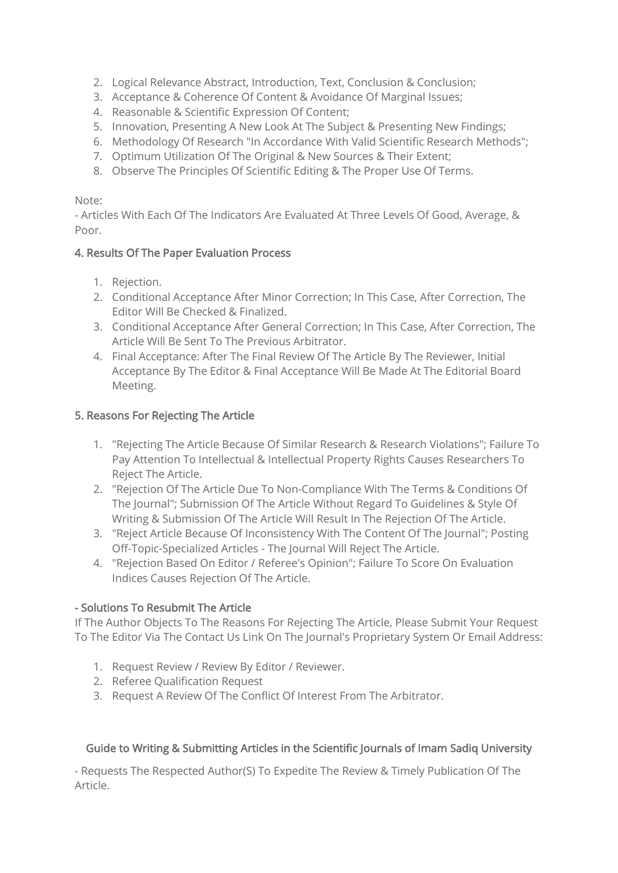- 2. Logical Relevance Abstract, Introduction, Text, Conclusion & Conclusion;
- 3. Acceptance & Coherence Of Content & Avoidance Of Marginal Issues;
- 4. Reasonable & Scientific Expression Of Content;
- 5. Innovation, Presenting A New Look At The Subject & Presenting New Findings;
- 6. Methodology Of Research "In Accordance With Valid Scientific Research Methods";
- 7. Optimum Utilization Of The Original & New Sources & Their Extent;
- 8. Observe The Principles Of Scientific Editing & The Proper Use Of Terms.

#### Note:

- Articles With Each Of The Indicators Are Evaluated At Three Levels Of Good, Average, & Poor.

#### 4. Results Of The Paper Evaluation Process

- 1. Rejection.
- 2. Conditional Acceptance After Minor Correction; In This Case, After Correction, The Editor Will Be Checked & Finalized.
- 3. Conditional Acceptance After General Correction; In This Case, After Correction, The Article Will Be Sent To The Previous Arbitrator.
- 4. Final Acceptance: After The Final Review Of The Article By The Reviewer, Initial Acceptance By The Editor & Final Acceptance Will Be Made At The Editorial Board Meeting.

#### 5. Reasons For Rejecting The Article

- 1. "Rejecting The Article Because Of Similar Research & Research Violations"; Failure To Pay Attention To Intellectual & Intellectual Property Rights Causes Researchers To Reject The Article.
- 2. "Rejection Of The Article Due To Non-Compliance With The Terms & Conditions Of The Journal"; Submission Of The Article Without Regard To Guidelines & Style Of Writing & Submission Of The Article Will Result In The Rejection Of The Article.
- 3. "Reject Article Because Of Inconsistency With The Content Of The Journal"; Posting Off-Topic-Specialized Articles - The Journal Will Reject The Article.
- 4. "Rejection Based On Editor / Referee's Opinion"; Failure To Score On Evaluation Indices Causes Rejection Of The Article.

#### - Solutions To Resubmit The Article

If The Author Objects To The Reasons For Rejecting The Article, Please Submit Your Request To The Editor Via The Contact Us Link On The Journal's Proprietary System Or Email Address:

- 1. Request Review / Review By Editor / Reviewer.
- 2. Referee Qualification Request
- 3. Request A Review Of The Conflict Of Interest From The Arbitrator.

## Guide to Writing & Submitting Articles in the Scientific Journals of Imam Sadiq University

- Requests The Respected Author(S) To Expedite The Review & Timely Publication Of The Article.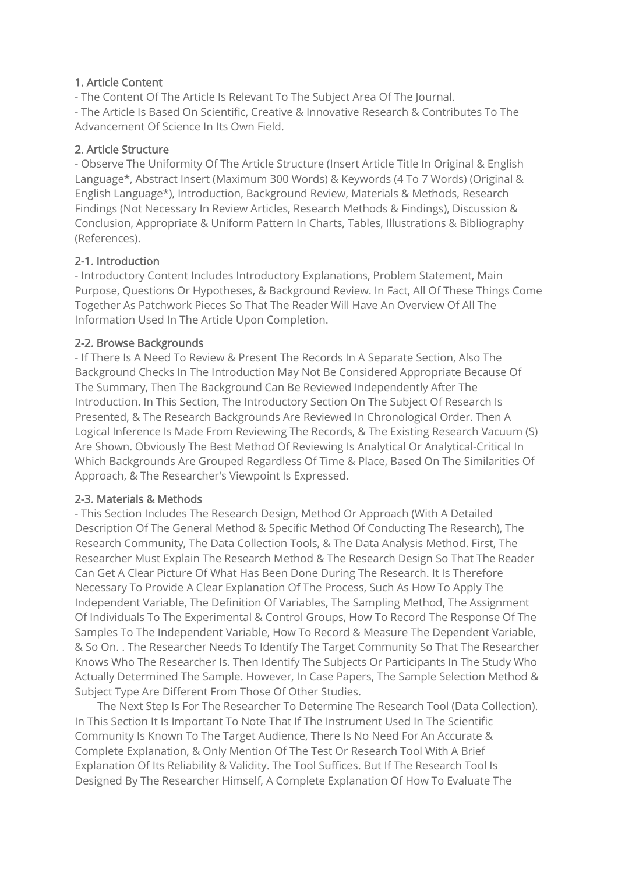#### 1. Article Content

- The Content Of The Article Is Relevant To The Subject Area Of The Journal.

- The Article Is Based On Scientific, Creative & Innovative Research & Contributes To The Advancement Of Science In Its Own Field.

#### 2. Article Structure

- Observe The Uniformity Of The Article Structure (Insert Article Title In Original & English Language\*, Abstract Insert (Maximum 300 Words) & Keywords (4 To 7 Words) (Original & English Language\*), Introduction, Background Review, Materials & Methods, Research Findings (Not Necessary In Review Articles, Research Methods & Findings), Discussion & Conclusion, Appropriate & Uniform Pattern In Charts, Tables, Illustrations & Bibliography (References).

#### 2-1. Introduction

- Introductory Content Includes Introductory Explanations, Problem Statement, Main Purpose, Questions Or Hypotheses, & Background Review. In Fact, All Of These Things Come Together As Patchwork Pieces So That The Reader Will Have An Overview Of All The Information Used In The Article Upon Completion.

#### 2-2. Browse Backgrounds

- If There Is A Need To Review & Present The Records In A Separate Section, Also The Background Checks In The Introduction May Not Be Considered Appropriate Because Of The Summary, Then The Background Can Be Reviewed Independently After The Introduction. In This Section, The Introductory Section On The Subject Of Research Is Presented, & The Research Backgrounds Are Reviewed In Chronological Order. Then A Logical Inference Is Made From Reviewing The Records, & The Existing Research Vacuum (S) Are Shown. Obviously The Best Method Of Reviewing Is Analytical Or Analytical-Critical In Which Backgrounds Are Grouped Regardless Of Time & Place, Based On The Similarities Of Approach, & The Researcher's Viewpoint Is Expressed.

#### 2-3. Materials & Methods

- This Section Includes The Research Design, Method Or Approach (With A Detailed Description Of The General Method & Specific Method Of Conducting The Research), The Research Community, The Data Collection Tools, & The Data Analysis Method. First, The Researcher Must Explain The Research Method & The Research Design So That The Reader Can Get A Clear Picture Of What Has Been Done During The Research. It Is Therefore Necessary To Provide A Clear Explanation Of The Process, Such As How To Apply The Independent Variable, The Definition Of Variables, The Sampling Method, The Assignment Of Individuals To The Experimental & Control Groups, How To Record The Response Of The Samples To The Independent Variable, How To Record & Measure The Dependent Variable, & So On. . The Researcher Needs To Identify The Target Community So That The Researcher Knows Who The Researcher Is. Then Identify The Subjects Or Participants In The Study Who Actually Determined The Sample. However, In Case Papers, The Sample Selection Method & Subject Type Are Different From Those Of Other Studies.

 The Next Step Is For The Researcher To Determine The Research Tool (Data Collection). In This Section It Is Important To Note That If The Instrument Used In The Scientific Community Is Known To The Target Audience, There Is No Need For An Accurate & Complete Explanation, & Only Mention Of The Test Or Research Tool With A Brief Explanation Of Its Reliability & Validity. The Tool Suffices. But If The Research Tool Is Designed By The Researcher Himself, A Complete Explanation Of How To Evaluate The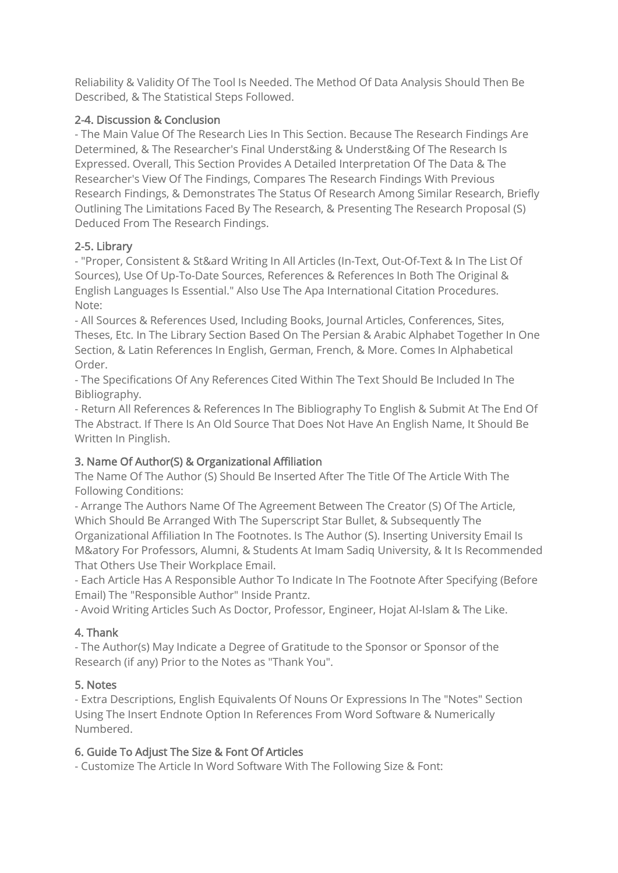Reliability & Validity Of The Tool Is Needed. The Method Of Data Analysis Should Then Be Described, & The Statistical Steps Followed.

## 2-4. Discussion & Conclusion

- The Main Value Of The Research Lies In This Section. Because The Research Findings Are Determined, & The Researcher's Final Underst&ing & Underst&ing Of The Research Is Expressed. Overall, This Section Provides A Detailed Interpretation Of The Data & The Researcher's View Of The Findings, Compares The Research Findings With Previous Research Findings, & Demonstrates The Status Of Research Among Similar Research, Briefly Outlining The Limitations Faced By The Research, & Presenting The Research Proposal (S) Deduced From The Research Findings.

## 2-5. Library

- "Proper, Consistent & St&ard Writing In All Articles (In-Text, Out-Of-Text & In The List Of Sources), Use Of Up-To-Date Sources, References & References In Both The Original & English Languages Is Essential." Also Use The Apa International Citation Procedures. Note:

- All Sources & References Used, Including Books, Journal Articles, Conferences, Sites, Theses, Etc. In The Library Section Based On The Persian & Arabic Alphabet Together In One Section, & Latin References In English, German, French, & More. Comes In Alphabetical Order.

- The Specifications Of Any References Cited Within The Text Should Be Included In The Bibliography.

- Return All References & References In The Bibliography To English & Submit At The End Of The Abstract. If There Is An Old Source That Does Not Have An English Name, It Should Be Written In Pinglish.

## 3. Name Of Author(S) & Organizational Affiliation

The Name Of The Author (S) Should Be Inserted After The Title Of The Article With The Following Conditions:

- Arrange The Authors Name Of The Agreement Between The Creator (S) Of The Article, Which Should Be Arranged With The Superscript Star Bullet, & Subsequently The Organizational Affiliation In The Footnotes. Is The Author (S). Inserting University Email Is M&atory For Professors, Alumni, & Students At Imam Sadiq University, & It Is Recommended That Others Use Their Workplace Email.

- Each Article Has A Responsible Author To Indicate In The Footnote After Specifying (Before Email) The "Responsible Author" Inside Prantz.

- Avoid Writing Articles Such As Doctor, Professor, Engineer, Hojat Al-Islam & The Like.

## 4. Thank

- The Author(s) May Indicate a Degree of Gratitude to the Sponsor or Sponsor of the Research (if any) Prior to the Notes as "Thank You".

## 5. Notes

- Extra Descriptions, English Equivalents Of Nouns Or Expressions In The "Notes" Section Using The Insert Endnote Option In References From Word Software & Numerically Numbered.

## 6. Guide To Adjust The Size & Font Of Articles

- Customize The Article In Word Software With The Following Size & Font: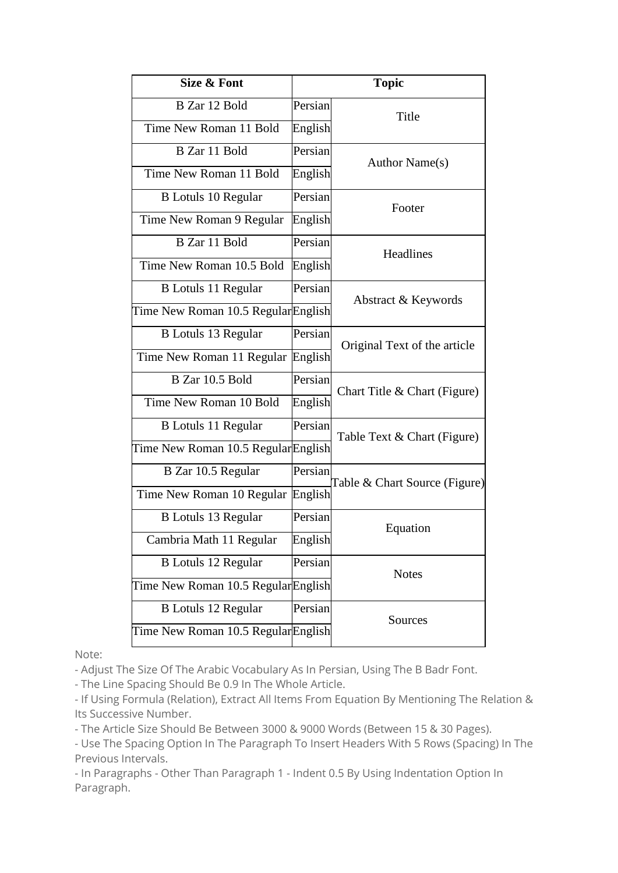| Size & Font                         | <b>Topic</b> |                               |
|-------------------------------------|--------------|-------------------------------|
| B Zar 12 Bold                       | Persian      | Title                         |
| Time New Roman 11 Bold              | English      |                               |
| B Zar 11 Bold                       | Persian      | Author Name(s)                |
| Time New Roman 11 Bold              | English      |                               |
| <b>B</b> Lotuls 10 Regular          | Persian      | Footer                        |
| Time New Roman 9 Regular            | English      |                               |
| B Zar 11 Bold                       | Persian      | Headlines                     |
| Time New Roman 10.5 Bold            | English      |                               |
| <b>B</b> Lotuls 11 Regular          | Persian      | Abstract & Keywords           |
| Time New Roman 10.5 RegularEnglish  |              |                               |
| <b>B</b> Lotuls 13 Regular          | Persian      | Original Text of the article  |
| Time New Roman 11 Regular English   |              |                               |
| B Zar 10.5 Bold                     | Persian      | Chart Title & Chart (Figure)  |
| Time New Roman 10 Bold              | English      |                               |
| B Lotuls 11 Regular                 | Persian      | Table Text & Chart (Figure)   |
| Time New Roman 10.5 Regular English |              |                               |
| B Zar 10.5 Regular                  | Persian      | Table & Chart Source (Figure) |
| Time New Roman 10 Regular English   |              |                               |
| B Lotuls 13 Regular                 | Persian      | Equation                      |
| Cambria Math 11 Regular             | English      |                               |
| <b>B</b> Lotuls 12 Regular          | Persian      | <b>Notes</b>                  |
| Time New Roman 10.5 Regular English |              |                               |
| <b>B</b> Lotuls 12 Regular          | Persian      | Sources                       |
| Time New Roman 10.5 Regular English |              |                               |

Note:

- Adjust The Size Of The Arabic Vocabulary As In Persian, Using The B Badr Font.

- The Line Spacing Should Be 0.9 In The Whole Article.

- If Using Formula (Relation), Extract All Items From Equation By Mentioning The Relation & Its Successive Number.

- The Article Size Should Be Between 3000 & 9000 Words (Between 15 & 30 Pages).

- Use The Spacing Option In The Paragraph To Insert Headers With 5 Rows (Spacing) In The Previous Intervals.

- In Paragraphs - Other Than Paragraph 1 - Indent 0.5 By Using Indentation Option In Paragraph.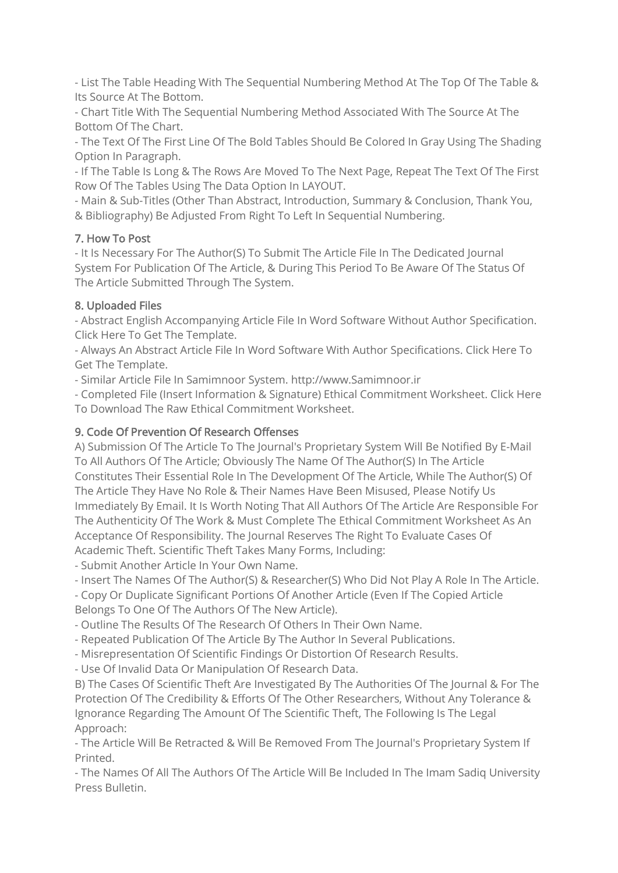- List The Table Heading With The Sequential Numbering Method At The Top Of The Table & Its Source At The Bottom.

- Chart Title With The Sequential Numbering Method Associated With The Source At The Bottom Of The Chart.

- The Text Of The First Line Of The Bold Tables Should Be Colored In Gray Using The Shading Option In Paragraph.

- If The Table Is Long & The Rows Are Moved To The Next Page, Repeat The Text Of The First Row Of The Tables Using The Data Option In LAYOUT.

- Main & Sub-Titles (Other Than Abstract, Introduction, Summary & Conclusion, Thank You, & Bibliography) Be Adjusted From Right To Left In Sequential Numbering.

## 7. How To Post

- It Is Necessary For The Author(S) To Submit The Article File In The Dedicated Journal System For Publication Of The Article, & During This Period To Be Aware Of The Status Of The Article Submitted Through The System.

# 8. Uploaded Files

- Abstract English Accompanying Article File In Word Software Without Author Specification. Click Here To Get The Template.

- Always An Abstract Article File In Word Software With Author Specifications. Click Here To Get The Template.

- Similar Article File In Samimnoor System. http://www.Samimnoor.ir

- Completed File (Insert Information & Signature) Ethical Commitment Worksheet. Click Here To Download The Raw Ethical Commitment Worksheet.

# 9. Code Of Prevention Of Research Offenses

A) Submission Of The Article To The Journal's Proprietary System Will Be Notified By E-Mail To All Authors Of The Article; Obviously The Name Of The Author(S) In The Article Constitutes Their Essential Role In The Development Of The Article, While The Author(S) Of The Article They Have No Role & Their Names Have Been Misused, Please Notify Us Immediately By Email. It Is Worth Noting That All Authors Of The Article Are Responsible For The Authenticity Of The Work & Must Complete The Ethical Commitment Worksheet As An Acceptance Of Responsibility. The Journal Reserves The Right To Evaluate Cases Of Academic Theft. Scientific Theft Takes Many Forms, Including:

- Submit Another Article In Your Own Name.

- Insert The Names Of The Author(S) & Researcher(S) Who Did Not Play A Role In The Article.

- Copy Or Duplicate Significant Portions Of Another Article (Even If The Copied Article Belongs To One Of The Authors Of The New Article).

- Outline The Results Of The Research Of Others In Their Own Name.

- Repeated Publication Of The Article By The Author In Several Publications.

- Misrepresentation Of Scientific Findings Or Distortion Of Research Results.

- Use Of Invalid Data Or Manipulation Of Research Data.

B) The Cases Of Scientific Theft Are Investigated By The Authorities Of The Journal & For The Protection Of The Credibility & Efforts Of The Other Researchers, Without Any Tolerance & Ignorance Regarding The Amount Of The Scientific Theft, The Following Is The Legal Approach:

- The Article Will Be Retracted & Will Be Removed From The Journal's Proprietary System If Printed.

- The Names Of All The Authors Of The Article Will Be Included In The Imam Sadiq University Press Bulletin.